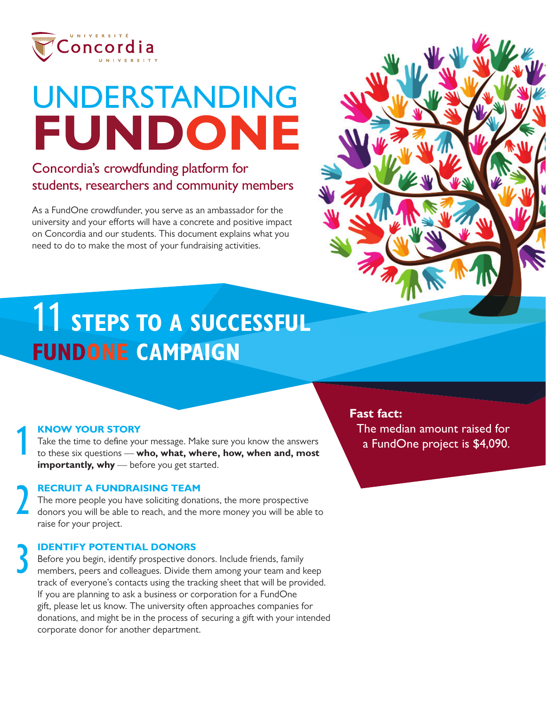

# UNDERSTANDING **FUNDONE**

#### Concordia's crowdfunding platform for students, researchers and community members

As a FundOne crowdfunder, you serve as an ambassador for the university and your efforts will have a concrete and positive impact on Concordia and our students. This document explains what you need to do to make the most of your fundraising activities.



## **11 STEPS TO A SUCCESSFUL FUNDONE CAMPAIGN**

### **KNOW YOUR STORY** 1

2

3

Take the time to define your message. Make sure you know the answers to these six questions — **who, what, where, how, when and, most importantly, why** — before you get started.

#### **RECRUIT A FUNDRAISING TEAM**

The more people you have soliciting donations, the more prospective donors you will be able to reach, and the more money you will be able to raise for your project.

#### **IDENTIFY POTENTIAL DONORS**

Before you begin, identify prospective donors. Include friends, family members, peers and colleagues. Divide them among your team and keep track of everyone's contacts using the tracking sheet that will be provided. If you are planning to ask a business or corporation for a FundOne gift, please let us know. The university often approaches companies for donations, and might be in the process of securing a gift with your intended corporate donor for another department.

#### **Fast fact:**

The median amount raised for a FundOne project is \$4,090.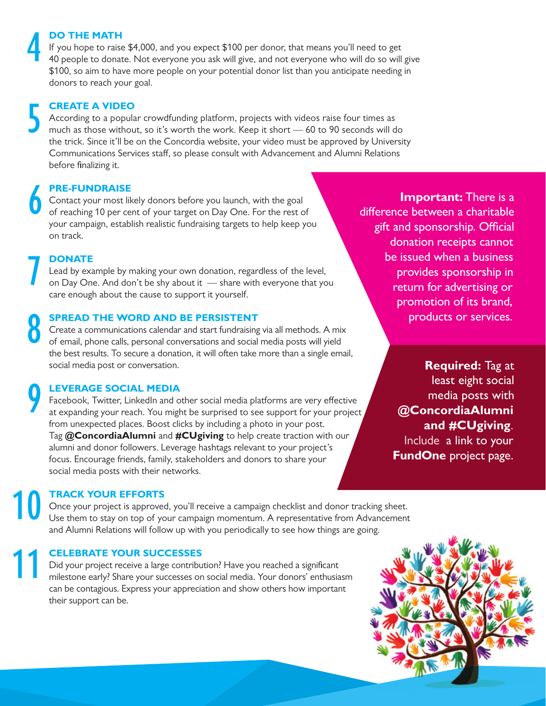#### **DO THE MATH**

If you hope to raise \$4,000, and you expect \$100 per donor, that means you'll need to get 40 people to donate. Not everyone you ask will give, and not everyone who will do so will give \$100, so aim to have more people on your potential donor list than you anticipate needing in donors to reach your goal. 4

### **CREATE A VIDEO** 5

According to a popular crowdfunding platform, projects with videos raise four times as much as those without, so it's worth the work. Keep it short — 60 to 90 seconds will do the trick. Since it'll be on the Concordia website, your video must be approved by University Communications Services staff, so please consult with Advancement and Alumni Relations before finalizing it.

### **PRE-FUNDRAISE** 6

Contact your most likely donors before you launch, with the goal of reaching 10 per cent of your target on Day One. For the rest of your campaign, establish realistic fundraising targets to help keep you on track.

**Important:** There is a difference between a charitable gift and sponsorship. Official donation receipts cannot be issued when a business provides sponsorship in return for advertising or promotion of its brand, products or services.

**DONATE**

7

8

9

Lead by example by making your own donation, regardless of the level, on Day One. And don't be shy about it — share with everyone that you care enough about the cause to support it yourself.

#### **SPREAD THE WORD AND BE PERSISTENT**

Create a communications calendar and start fundraising via all methods. A mix of email, phone calls, personal conversations and social media posts will yield the best results. To secure a donation, it will often take more than a single email, social media post or conversation.

#### **LEVERAGE SOCIAL MEDIA**

Facebook, Twitter, LinkedIn and other social media platforms are very effective at expanding your reach. You might be surprised to see support for your project from unexpected places. Boost clicks by including a photo in your post. Tag **@ConcordiaAlumni** and **#CUgiving** to help create traction with our alumni and donor followers. Leverage hashtags relevant to your project's focus. Encourage friends, family, stakeholders and donors to share your social media posts with their networks.

**Required:** Tag at least eight social media posts with **@ConcordiaAlumni and #CUgiving**. Include a link to your **FundOne** project page.

### **TRACK YOUR EFFORTS** 10

Once your project is approved, you'll receive a campaign checklist and donor tracking sheet. Use them to stay on top of your campaign momentum. A representative from Advancement and Alumni Relations will follow up with you periodically to see how things are going.

### **CELEBRATE YOUR SUCCESSES** 11

Did your project receive a large contribution? Have you reached a significant milestone early? Share your successes on social media. Your donors' enthusiasm can be contagious. Express your appreciation and show others how important their support can be.

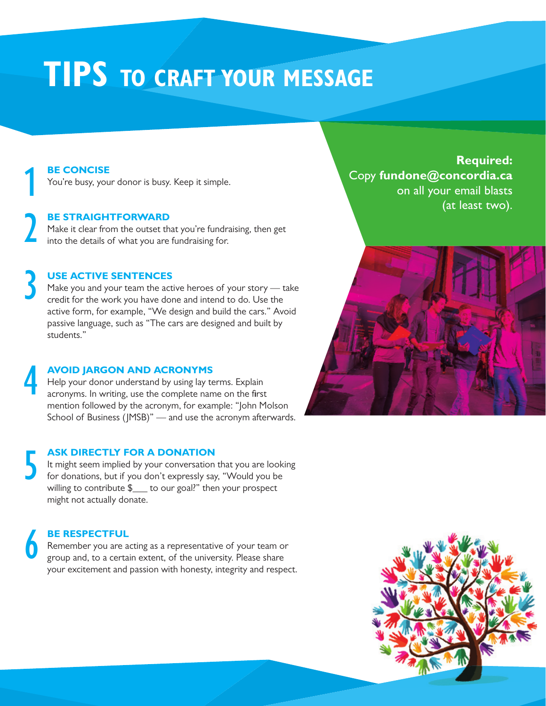## **TIPS TO CRAFT YOUR MESSAGE**

### 1 **BE CONCISE**

2

4

You're busy, your donor is busy. Keep it simple.

#### **BE STRAIGHTFORWARD**

Make it clear from the outset that you're fundraising, then get into the details of what you are fundraising for.

### 3 **USE ACTIVE SENTENCES**

Make you and your team the active heroes of your story — take credit for the work you have done and intend to do. Use the active form, for example, "We design and build the cars." Avoid passive language, such as "The cars are designed and built by students."

#### **AVOID JARGON AND ACRONYMS** Help your donor understand by using lay terms. Explain acronyms. In writing, use the complete name on the first mention followed by the acronym, for example: "John Molson School of Business (JMSB)" — and use the acronym afterwards.

### 5 **ASK DIRECTLY FOR A DONATION**

It might seem implied by your conversation that you are looking for donations, but if you don't expressly say, "Would you be willing to contribute \$\_\_\_ to our goal?" then your prospect might not actually donate.

### 6 **BE RESPECTFUL**

Remember you are acting as a representative of your team or group and, to a certain extent, of the university. Please share your excitement and passion with honesty, integrity and respect.

**Required:** Copy **fundone@concordia.ca**  on all your email blasts (at least two).



![](_page_2_Picture_14.jpeg)